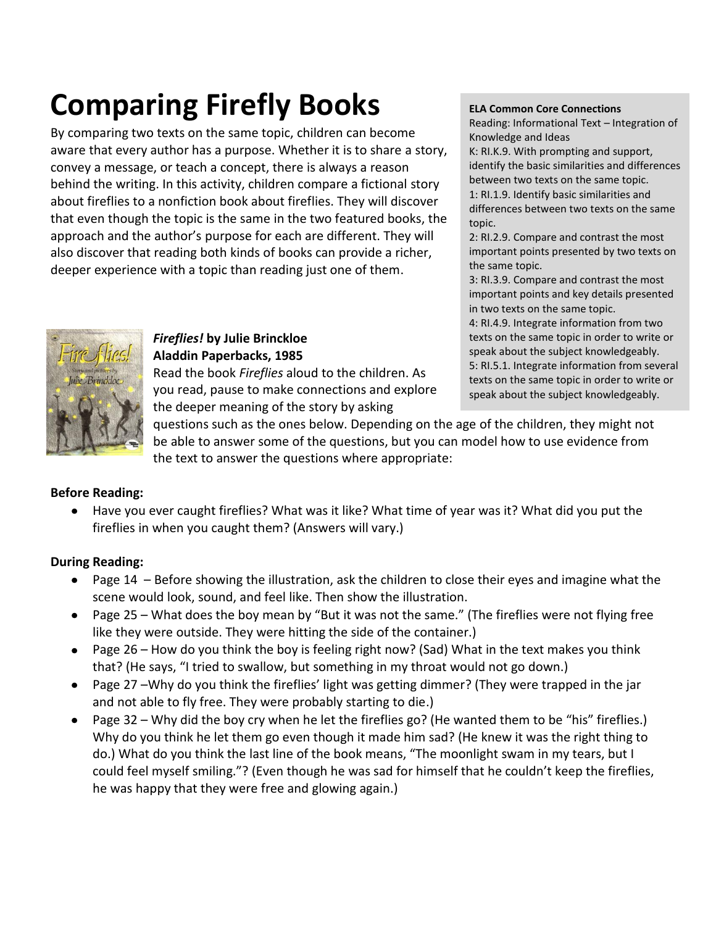# **Comparing Firefly Books**

By comparing two texts on the same topic, children can become aware that every author has a purpose. Whether it is to share a story, convey a message, or teach a concept, there is always a reason behind the writing. In this activity, children compare a fictional story about fireflies to a nonfiction book about fireflies. They will discover that even though the topic is the same in the two featured books, the approach and the author's purpose for each are different. They will also discover that reading both kinds of books can provide a richer, deeper experience with a topic than reading just one of them.



Reading: Informational Text – Integration of Knowledge and Ideas

K: RI.K.9. With prompting and support, identify the basic similarities and differences between two texts on the same topic. 1: RI.1.9. Identify basic similarities and differences between two texts on the same topic.

2: RI.2.9. Compare and contrast the most important points presented by two texts on the same topic.

3: RI.3.9. Compare and contrast the most important points and key details presented in two texts on the same topic.

4: RI.4.9. Integrate information from two texts on the same topic in order to write or speak about the subject knowledgeably. 5: RI.5.1. Integrate information from several texts on the same topic in order to write or speak about the subject knowledgeably.



# *Fireflies!* **by Julie Brinckloe Aladdin Paperbacks, 1985**

Read the book *Fireflies* aloud to the children. As you read, pause to make connections and explore the deeper meaning of the story by asking

questions such as the ones below. Depending on the age of the children, they might not be able to answer some of the questions, but you can model how to use evidence from the text to answer the questions where appropriate:

### **Before Reading:**

Have you ever caught fireflies? What was it like? What time of year was it? What did you put the  $\bullet$ fireflies in when you caught them? (Answers will vary.)

# **During Reading:**

- Page 14 Before showing the illustration, ask the children to close their eyes and imagine what the scene would look, sound, and feel like. Then show the illustration.
- Page 25 What does the boy mean by "But it was not the same." (The fireflies were not flying free  $\bullet$ like they were outside. They were hitting the side of the container.)
- Page 26 How do you think the boy is feeling right now? (Sad) What in the text makes you think that? (He says, "I tried to swallow, but something in my throat would not go down.)
- Page 27 –Why do you think the fireflies' light was getting dimmer? (They were trapped in the jar and not able to fly free. They were probably starting to die.)
- Page 32 Why did the boy cry when he let the fireflies go? (He wanted them to be "his" fireflies.)  $\bullet$ Why do you think he let them go even though it made him sad? (He knew it was the right thing to do.) What do you think the last line of the book means, "The moonlight swam in my tears, but I could feel myself smiling."? (Even though he was sad for himself that he couldn't keep the fireflies, he was happy that they were free and glowing again.)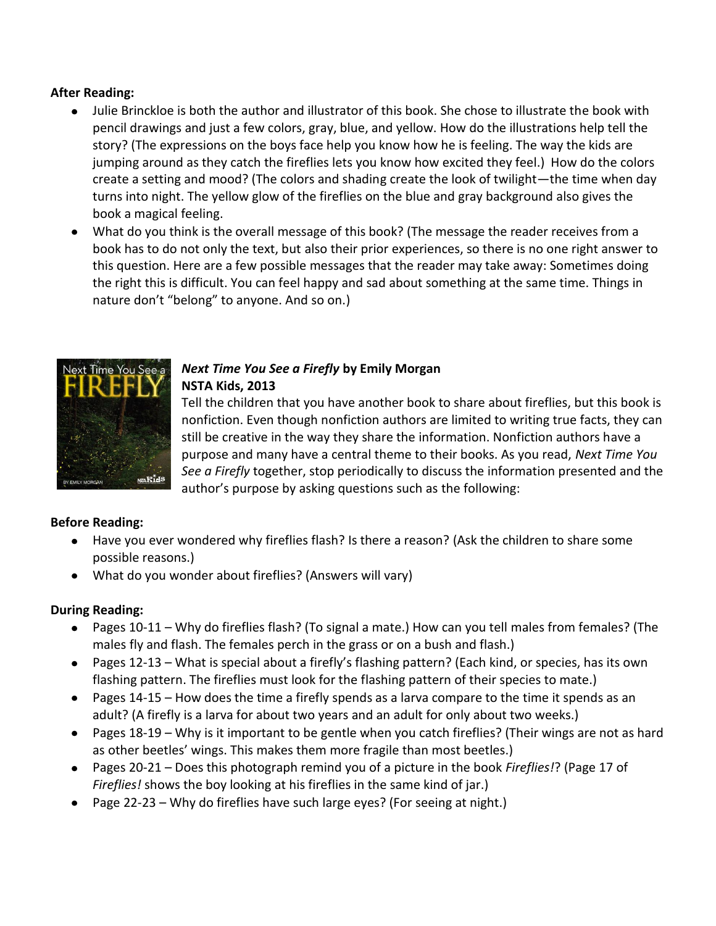#### **After Reading:**

- Julie Brinckloe is both the author and illustrator of this book. She chose to illustrate the book with pencil drawings and just a few colors, gray, blue, and yellow. How do the illustrations help tell the story? (The expressions on the boys face help you know how he is feeling. The way the kids are jumping around as they catch the fireflies lets you know how excited they feel.) How do the colors create a setting and mood? (The colors and shading create the look of twilight—the time when day turns into night. The yellow glow of the fireflies on the blue and gray background also gives the book a magical feeling.
- What do you think is the overall message of this book? (The message the reader receives from a book has to do not only the text, but also their prior experiences, so there is no one right answer to this question. Here are a few possible messages that the reader may take away: Sometimes doing the right this is difficult. You can feel happy and sad about something at the same time. Things in nature don't "belong" to anyone. And so on.)



# *Next Time You See a Firefly* **by Emily Morgan NSTA Kids, 2013**

Tell the children that you have another book to share about fireflies, but this book is nonfiction. Even though nonfiction authors are limited to writing true facts, they can still be creative in the way they share the information. Nonfiction authors have a purpose and many have a central theme to their books. As you read, *Next Time You See a Firefly* together, stop periodically to discuss the information presented and the author's purpose by asking questions such as the following:

### **Before Reading:**

- Have you ever wondered why fireflies flash? Is there a reason? (Ask the children to share some possible reasons.)
- What do you wonder about fireflies? (Answers will vary)

### **During Reading:**

- Pages 10-11 Why do fireflies flash? (To signal a mate.) How can you tell males from females? (The males fly and flash. The females perch in the grass or on a bush and flash.)
- Pages 12-13 What is special about a firefly's flashing pattern? (Each kind, or species, has its own flashing pattern. The fireflies must look for the flashing pattern of their species to mate.)
- Pages 14-15 How does the time a firefly spends as a larva compare to the time it spends as an adult? (A firefly is a larva for about two years and an adult for only about two weeks.)
- Pages 18-19 Why is it important to be gentle when you catch fireflies? (Their wings are not as hard  $\bullet$ as other beetles' wings. This makes them more fragile than most beetles.)
- Pages 20-21 Does this photograph remind you of a picture in the book *Fireflies!*? (Page 17 of *Fireflies!* shows the boy looking at his fireflies in the same kind of jar.)
- Page 22-23 Why do fireflies have such large eyes? (For seeing at night.)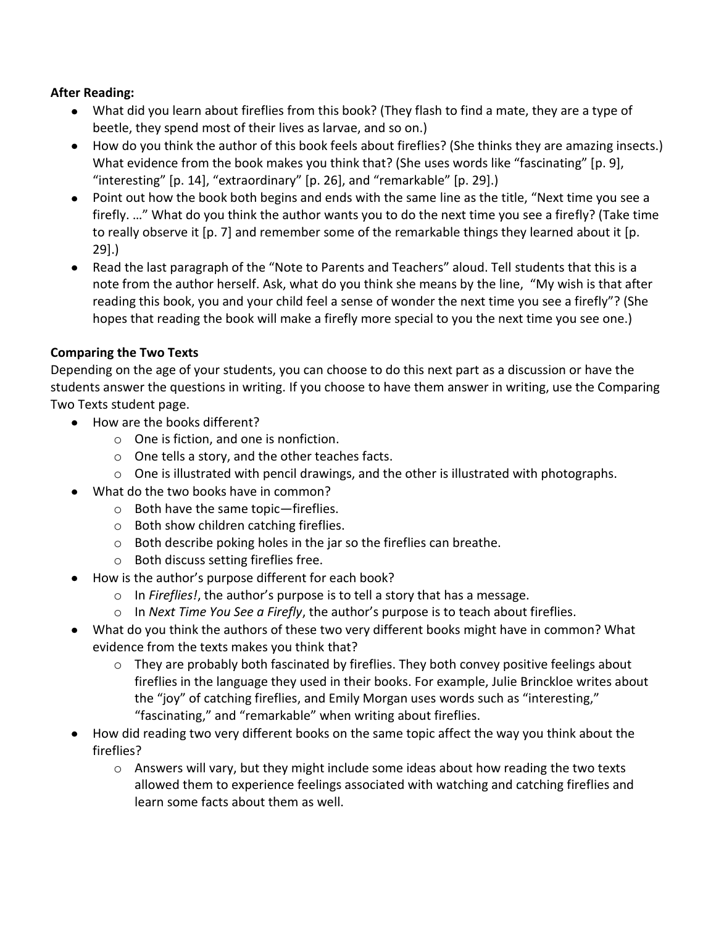#### **After Reading:**

- What did you learn about fireflies from this book? (They flash to find a mate, they are a type of beetle, they spend most of their lives as larvae, and so on.)
- How do you think the author of this book feels about fireflies? (She thinks they are amazing insects.) What evidence from the book makes you think that? (She uses words like "fascinating" [p. 9], "interesting" [p. 14], "extraordinary" [p. 26], and "remarkable" [p. 29].)
- Point out how the book both begins and ends with the same line as the title, "Next time you see a firefly. …" What do you think the author wants you to do the next time you see a firefly? (Take time to really observe it [p. 7] and remember some of the remarkable things they learned about it [p. 29].)
- Read the last paragraph of the "Note to Parents and Teachers" aloud. Tell students that this is a note from the author herself. Ask, what do you think she means by the line, "My wish is that after reading this book, you and your child feel a sense of wonder the next time you see a firefly"? (She hopes that reading the book will make a firefly more special to you the next time you see one.)

#### **Comparing the Two Texts**

Depending on the age of your students, you can choose to do this next part as a discussion or have the students answer the questions in writing. If you choose to have them answer in writing, use the Comparing Two Texts student page.

- How are the books different?
	- o One is fiction, and one is nonfiction.
	- o One tells a story, and the other teaches facts.
	- $\circ$  One is illustrated with pencil drawings, and the other is illustrated with photographs.
- What do the two books have in common?
	- o Both have the same topic—fireflies.
	- o Both show children catching fireflies.
	- o Both describe poking holes in the jar so the fireflies can breathe.
	- o Both discuss setting fireflies free.
- How is the author's purpose different for each book?
	- o In *Fireflies!*, the author's purpose is to tell a story that has a message.
	- o In *Next Time You See a Firefly*, the author's purpose is to teach about fireflies.
- What do you think the authors of these two very different books might have in common? What evidence from the texts makes you think that?
	- $\circ$  They are probably both fascinated by fireflies. They both convey positive feelings about fireflies in the language they used in their books. For example, Julie Brinckloe writes about the "joy" of catching fireflies, and Emily Morgan uses words such as "interesting," "fascinating," and "remarkable" when writing about fireflies.
- How did reading two very different books on the same topic affect the way you think about the fireflies?
	- $\circ$  Answers will vary, but they might include some ideas about how reading the two texts allowed them to experience feelings associated with watching and catching fireflies and learn some facts about them as well.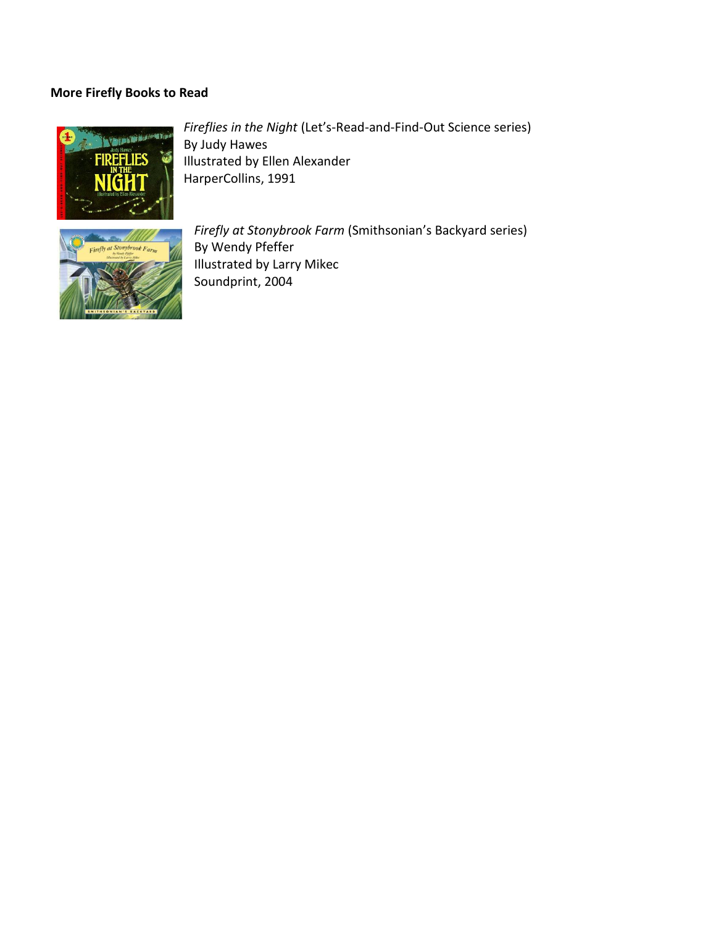#### **More Firefly Books to Read**



*Fireflies in the Night* (Let's-Read-and-Find-Out Science series) By Judy Hawes Illustrated by Ellen Alexander HarperCollins, 1991



*Firefly at Stonybrook Farm* (Smithsonian's Backyard series) By Wendy Pfeffer Illustrated by Larry Mikec Soundprint, 2004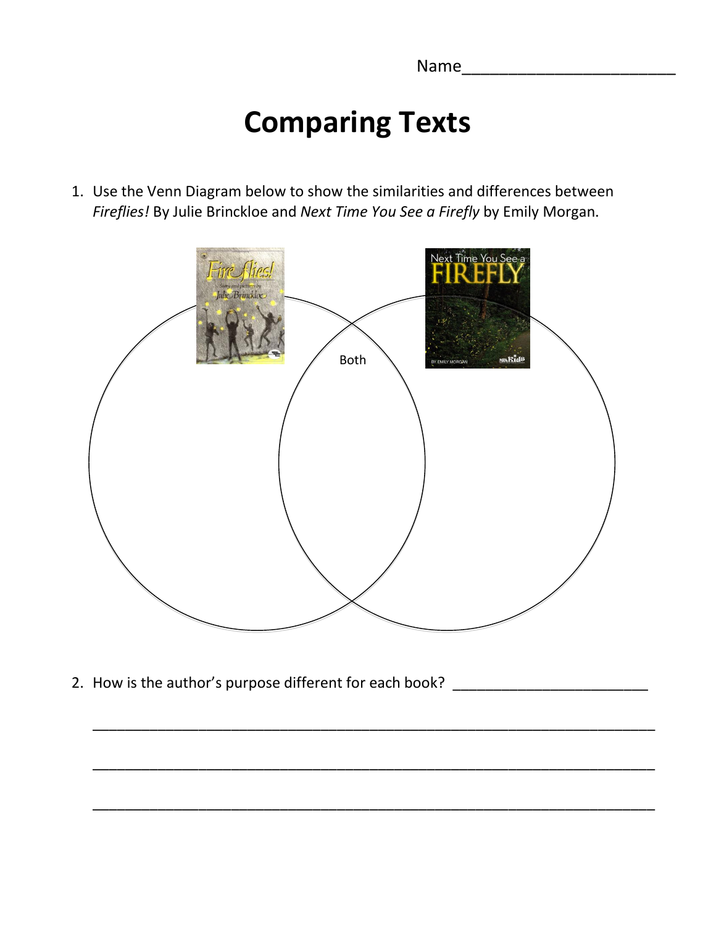Name\_\_\_\_\_\_\_\_\_\_\_\_\_\_\_\_\_\_\_\_\_\_\_

# **Comparing Texts**

1. Use the Venn Diagram below to show the similarities and differences between *Fireflies!* By Julie Brinckloe and *Next Time You See a Firefly* by Emily Morgan.



\_\_\_\_\_\_\_\_\_\_\_\_\_\_\_\_\_\_\_\_\_\_\_\_\_\_\_\_\_\_\_\_\_\_\_\_\_\_\_\_\_\_\_\_\_\_\_\_\_\_\_\_\_\_\_\_\_\_\_\_\_\_\_\_\_\_\_\_\_

\_\_\_\_\_\_\_\_\_\_\_\_\_\_\_\_\_\_\_\_\_\_\_\_\_\_\_\_\_\_\_\_\_\_\_\_\_\_\_\_\_\_\_\_\_\_\_\_\_\_\_\_\_\_\_\_\_\_\_\_\_\_\_\_\_\_\_\_\_

\_\_\_\_\_\_\_\_\_\_\_\_\_\_\_\_\_\_\_\_\_\_\_\_\_\_\_\_\_\_\_\_\_\_\_\_\_\_\_\_\_\_\_\_\_\_\_\_\_\_\_\_\_\_\_\_\_\_\_\_\_\_\_\_\_\_\_\_\_

2. How is the author's purpose different for each book?